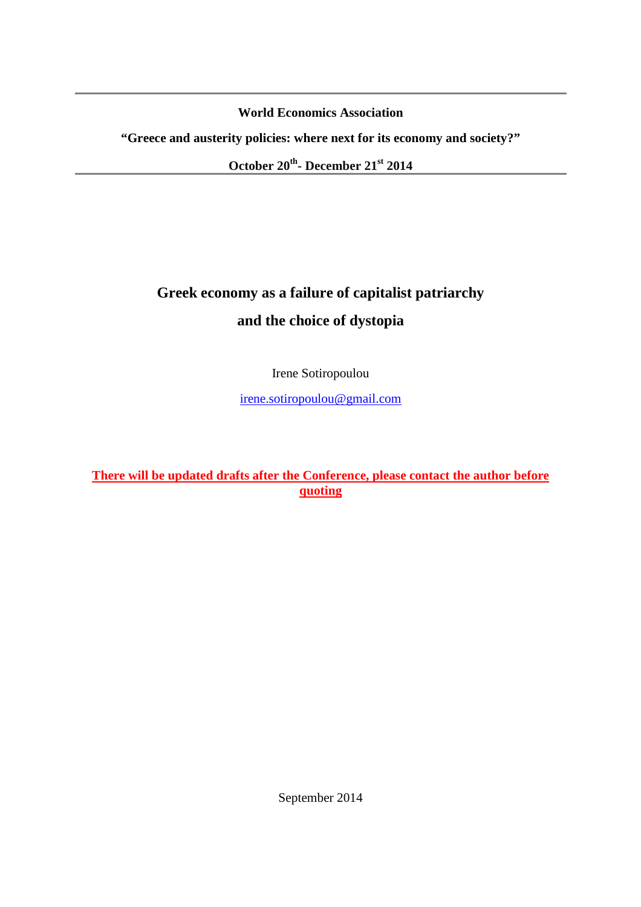**World Economics Association** 

**"Greece and austerity policies: where next for its economy and society?"** 

**October 20th- December 21st 2014** 

# **Greek economy as a failure of capitalist patriarchy and the choice of dystopia**

Irene Sotiropoulou

irene.sotiropoulou@gmail.com

## **There will be updated drafts after the Conference, please contact the author before quoting**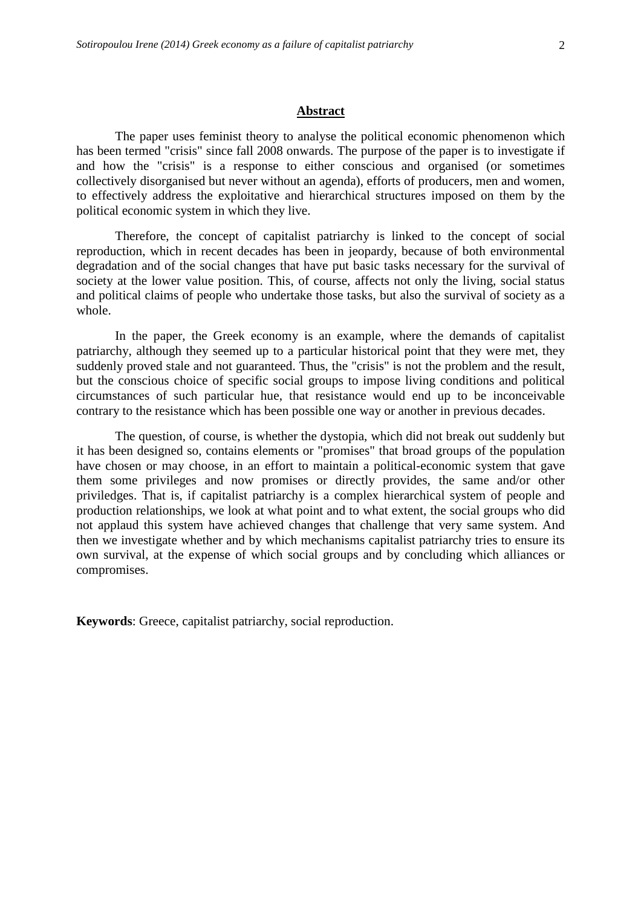## **Abstract**

The paper uses feminist theory to analyse the political economic phenomenon which has been termed "crisis" since fall 2008 onwards. The purpose of the paper is to investigate if and how the "crisis" is a response to either conscious and organised (or sometimes collectively disorganised but never without an agenda), efforts of producers, men and women, to effectively address the exploitative and hierarchical structures imposed on them by the political economic system in which they live.

Therefore, the concept of capitalist patriarchy is linked to the concept of social reproduction, which in recent decades has been in jeopardy, because of both environmental degradation and of the social changes that have put basic tasks necessary for the survival of society at the lower value position. This, of course, affects not only the living, social status and political claims of people who undertake those tasks, but also the survival of society as a whole.

In the paper, the Greek economy is an example, where the demands of capitalist patriarchy, although they seemed up to a particular historical point that they were met, they suddenly proved stale and not guaranteed. Thus, the "crisis" is not the problem and the result, but the conscious choice of specific social groups to impose living conditions and political circumstances of such particular hue, that resistance would end up to be inconceivable contrary to the resistance which has been possible one way or another in previous decades.

The question, of course, is whether the dystopia, which did not break out suddenly but it has been designed so, contains elements or "promises" that broad groups of the population have chosen or may choose, in an effort to maintain a political-economic system that gave them some privileges and now promises or directly provides, the same and/or other priviledges. That is, if capitalist patriarchy is a complex hierarchical system of people and production relationships, we look at what point and to what extent, the social groups who did not applaud this system have achieved changes that challenge that very same system. And then we investigate whether and by which mechanisms capitalist patriarchy tries to ensure its own survival, at the expense of which social groups and by concluding which alliances or compromises.

**Keywords**: Greece, capitalist patriarchy, social reproduction.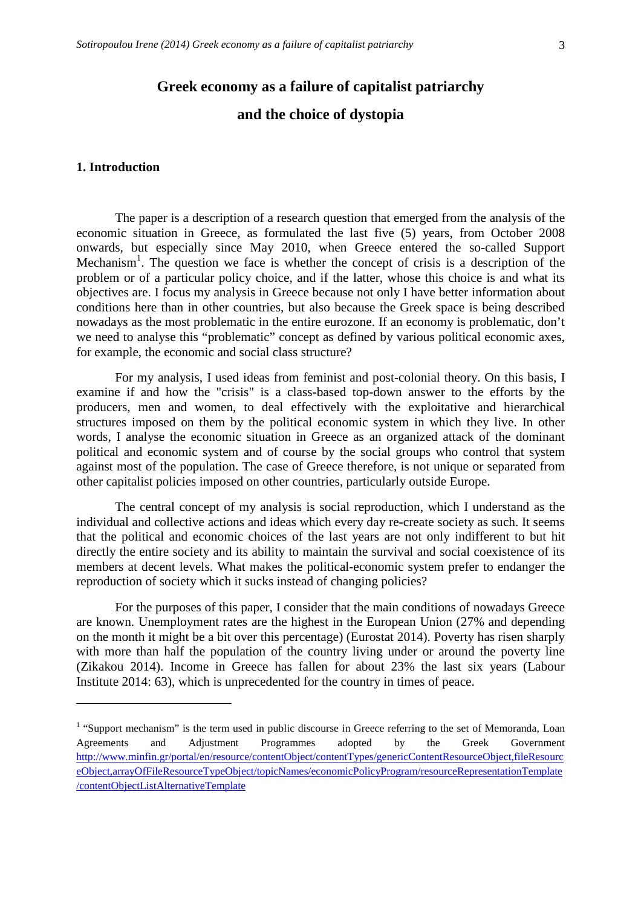## **Greek economy as a failure of capitalist patriarchy**

## **and the choice of dystopia**

#### **1. Introduction**

 $\overline{a}$ 

The paper is a description of a research question that emerged from the analysis of the economic situation in Greece, as formulated the last five (5) years, from October 2008 onwards, but especially since May 2010, when Greece entered the so-called Support Mechanism<sup>1</sup>. The question we face is whether the concept of crisis is a description of the problem or of a particular policy choice, and if the latter, whose this choice is and what its objectives are. I focus my analysis in Greece because not only I have better information about conditions here than in other countries, but also because the Greek space is being described nowadays as the most problematic in the entire eurozone. If an economy is problematic, don't we need to analyse this "problematic" concept as defined by various political economic axes, for example, the economic and social class structure?

For my analysis, I used ideas from feminist and post-colonial theory. On this basis, I examine if and how the "crisis" is a class-based top-down answer to the efforts by the producers, men and women, to deal effectively with the exploitative and hierarchical structures imposed on them by the political economic system in which they live. In other words, I analyse the economic situation in Greece as an organized attack of the dominant political and economic system and of course by the social groups who control that system against most of the population. The case of Greece therefore, is not unique or separated from other capitalist policies imposed on other countries, particularly outside Europe.

The central concept of my analysis is social reproduction, which I understand as the individual and collective actions and ideas which every day re-create society as such. It seems that the political and economic choices of the last years are not only indifferent to but hit directly the entire society and its ability to maintain the survival and social coexistence of its members at decent levels. What makes the political-economic system prefer to endanger the reproduction of society which it sucks instead of changing policies?

For the purposes of this paper, I consider that the main conditions of nowadays Greece are known. Unemployment rates are the highest in the European Union (27% and depending on the month it might be a bit over this percentage) (Eurostat 2014). Poverty has risen sharply with more than half the population of the country living under or around the poverty line (Zikakou 2014). Income in Greece has fallen for about 23% the last six years (Labour Institute 2014: 63), which is unprecedented for the country in times of peace.

<sup>&</sup>lt;sup>1</sup> "Support mechanism" is the term used in public discourse in Greece referring to the set of Memoranda, Loan Agreements and Adjustment Programmes adopted by the Greek Government http://www.minfin.gr/portal/en/resource/contentObject/contentTypes/genericContentResourceObject,fileResourc eObject,arrayOfFileResourceTypeObject/topicNames/economicPolicyProgram/resourceRepresentationTemplate /contentObjectListAlternativeTemplate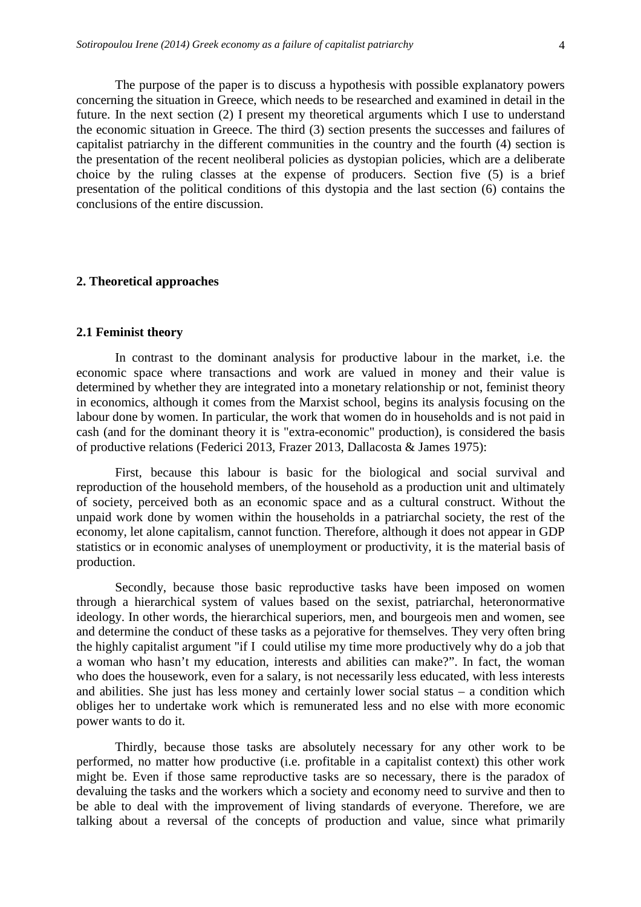The purpose of the paper is to discuss a hypothesis with possible explanatory powers concerning the situation in Greece, which needs to be researched and examined in detail in the future. In the next section (2) I present my theoretical arguments which I use to understand the economic situation in Greece. The third (3) section presents the successes and failures of capitalist patriarchy in the different communities in the country and the fourth (4) section is the presentation of the recent neoliberal policies as dystopian policies, which are a deliberate choice by the ruling classes at the expense of producers. Section five (5) is a brief presentation of the political conditions of this dystopia and the last section (6) contains the conclusions of the entire discussion.

#### **2. Theoretical approaches**

#### **2.1 Feminist theory**

In contrast to the dominant analysis for productive labour in the market, i.e. the economic space where transactions and work are valued in money and their value is determined by whether they are integrated into a monetary relationship or not, feminist theory in economics, although it comes from the Marxist school, begins its analysis focusing on the labour done by women. In particular, the work that women do in households and is not paid in cash (and for the dominant theory it is "extra-economic" production), is considered the basis of productive relations (Federici 2013, Frazer 2013, Dallacosta & James 1975):

First, because this labour is basic for the biological and social survival and reproduction of the household members, of the household as a production unit and ultimately of society, perceived both as an economic space and as a cultural construct. Without the unpaid work done by women within the households in a patriarchal society, the rest of the economy, let alone capitalism, cannot function. Therefore, although it does not appear in GDP statistics or in economic analyses of unemployment or productivity, it is the material basis of production.

Secondly, because those basic reproductive tasks have been imposed on women through a hierarchical system of values based on the sexist, patriarchal, heteronormative ideology. In other words, the hierarchical superiors, men, and bourgeois men and women, see and determine the conduct of these tasks as a pejorative for themselves. They very often bring the highly capitalist argument "if I could utilise my time more productively why do a job that a woman who hasn't my education, interests and abilities can make?". In fact, the woman who does the housework, even for a salary, is not necessarily less educated, with less interests and abilities. She just has less money and certainly lower social status – a condition which obliges her to undertake work which is remunerated less and no else with more economic power wants to do it.

Thirdly, because those tasks are absolutely necessary for any other work to be performed, no matter how productive (i.e. profitable in a capitalist context) this other work might be. Even if those same reproductive tasks are so necessary, there is the paradox of devaluing the tasks and the workers which a society and economy need to survive and then to be able to deal with the improvement of living standards of everyone. Therefore, we are talking about a reversal of the concepts of production and value, since what primarily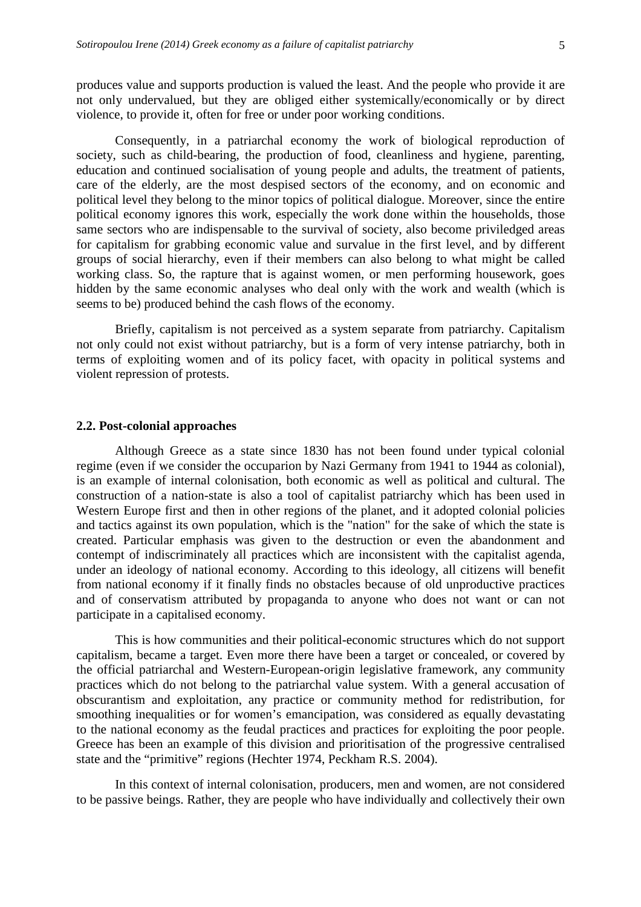produces value and supports production is valued the least. And the people who provide it are not only undervalued, but they are obliged either systemically/economically or by direct violence, to provide it, often for free or under poor working conditions.

Consequently, in a patriarchal economy the work of biological reproduction of society, such as child-bearing, the production of food, cleanliness and hygiene, parenting, education and continued socialisation of young people and adults, the treatment of patients, care of the elderly, are the most despised sectors of the economy, and on economic and political level they belong to the minor topics of political dialogue. Moreover, since the entire political economy ignores this work, especially the work done within the households, those same sectors who are indispensable to the survival of society, also become priviledged areas for capitalism for grabbing economic value and survalue in the first level, and by different groups of social hierarchy, even if their members can also belong to what might be called working class. So, the rapture that is against women, or men performing housework, goes hidden by the same economic analyses who deal only with the work and wealth (which is seems to be) produced behind the cash flows of the economy.

Briefly, capitalism is not perceived as a system separate from patriarchy. Capitalism not only could not exist without patriarchy, but is a form of very intense patriarchy, both in terms of exploiting women and of its policy facet, with opacity in political systems and violent repression of protests.

#### **2.2. Post-colonial approaches**

 Although Greece as a state since 1830 has not been found under typical colonial regime (even if we consider the occuparion by Nazi Germany from 1941 to 1944 as colonial), is an example of internal colonisation, both economic as well as political and cultural. The construction of a nation-state is also a tool of capitalist patriarchy which has been used in Western Europe first and then in other regions of the planet, and it adopted colonial policies and tactics against its own population, which is the "nation" for the sake of which the state is created. Particular emphasis was given to the destruction or even the abandonment and contempt of indiscriminately all practices which are inconsistent with the capitalist agenda, under an ideology of national economy. According to this ideology, all citizens will benefit from national economy if it finally finds no obstacles because of old unproductive practices and of conservatism attributed by propaganda to anyone who does not want or can not participate in a capitalised economy.

This is how communities and their political-economic structures which do not support capitalism, became a target. Even more there have been a target or concealed, or covered by the official patriarchal and Western-European-origin legislative framework, any community practices which do not belong to the patriarchal value system. With a general accusation of obscurantism and exploitation, any practice or community method for redistribution, for smoothing inequalities or for women's emancipation, was considered as equally devastating to the national economy as the feudal practices and practices for exploiting the poor people. Greece has been an example of this division and prioritisation of the progressive centralised state and the "primitive" regions (Hechter 1974, Peckham R.S. 2004).

In this context of internal colonisation, producers, men and women, are not considered to be passive beings. Rather, they are people who have individually and collectively their own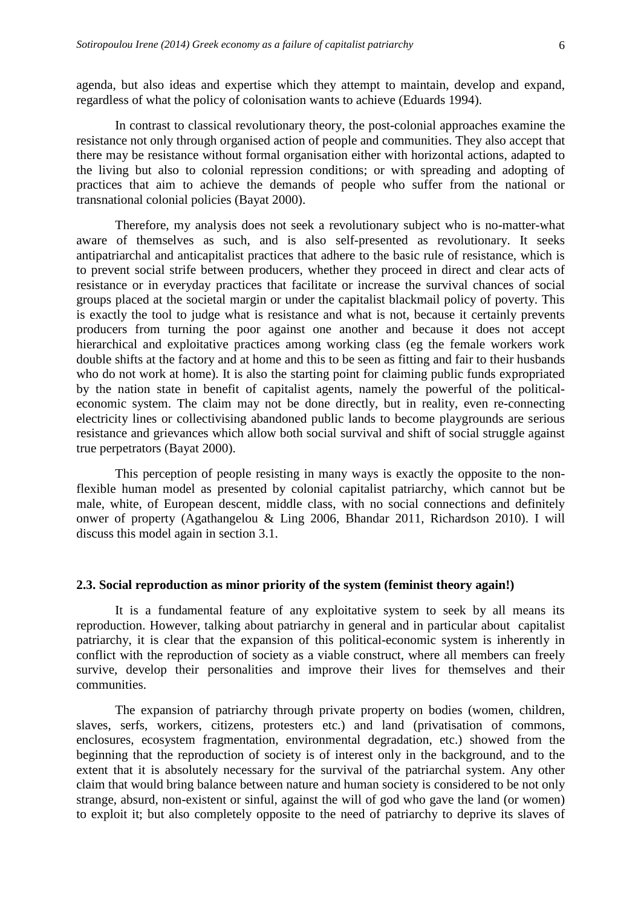agenda, but also ideas and expertise which they attempt to maintain, develop and expand, regardless of what the policy of colonisation wants to achieve (Eduards 1994).

In contrast to classical revolutionary theory, the post-colonial approaches examine the resistance not only through organised action of people and communities. They also accept that there may be resistance without formal organisation either with horizontal actions, adapted to the living but also to colonial repression conditions; or with spreading and adopting of practices that aim to achieve the demands of people who suffer from the national or transnational colonial policies (Bayat 2000).

Therefore, my analysis does not seek a revolutionary subject who is no-matter-what aware of themselves as such, and is also self-presented as revolutionary. It seeks antipatriarchal and anticapitalist practices that adhere to the basic rule of resistance, which is to prevent social strife between producers, whether they proceed in direct and clear acts of resistance or in everyday practices that facilitate or increase the survival chances of social groups placed at the societal margin or under the capitalist blackmail policy of poverty. This is exactly the tool to judge what is resistance and what is not, because it certainly prevents producers from turning the poor against one another and because it does not accept hierarchical and exploitative practices among working class (eg the female workers work double shifts at the factory and at home and this to be seen as fitting and fair to their husbands who do not work at home). It is also the starting point for claiming public funds expropriated by the nation state in benefit of capitalist agents, namely the powerful of the politicaleconomic system. The claim may not be done directly, but in reality, even re-connecting electricity lines or collectivising abandoned public lands to become playgrounds are serious resistance and grievances which allow both social survival and shift of social struggle against true perpetrators (Bayat 2000).

This perception of people resisting in many ways is exactly the opposite to the nonflexible human model as presented by colonial capitalist patriarchy, which cannot but be male, white, of European descent, middle class, with no social connections and definitely onwer of property (Agathangelou & Ling 2006, Bhandar 2011, Richardson 2010). I will discuss this model again in section 3.1.

#### **2.3. Social reproduction as minor priority of the system (feminist theory again!)**

It is a fundamental feature of any exploitative system to seek by all means its reproduction. However, talking about patriarchy in general and in particular about capitalist patriarchy, it is clear that the expansion of this political-economic system is inherently in conflict with the reproduction of society as a viable construct, where all members can freely survive, develop their personalities and improve their lives for themselves and their communities.

The expansion of patriarchy through private property on bodies (women, children, slaves, serfs, workers, citizens, protesters etc.) and land (privatisation of commons, enclosures, ecosystem fragmentation, environmental degradation, etc.) showed from the beginning that the reproduction of society is of interest only in the background, and to the extent that it is absolutely necessary for the survival of the patriarchal system. Any other claim that would bring balance between nature and human society is considered to be not only strange, absurd, non-existent or sinful, against the will of god who gave the land (or women) to exploit it; but also completely opposite to the need of patriarchy to deprive its slaves of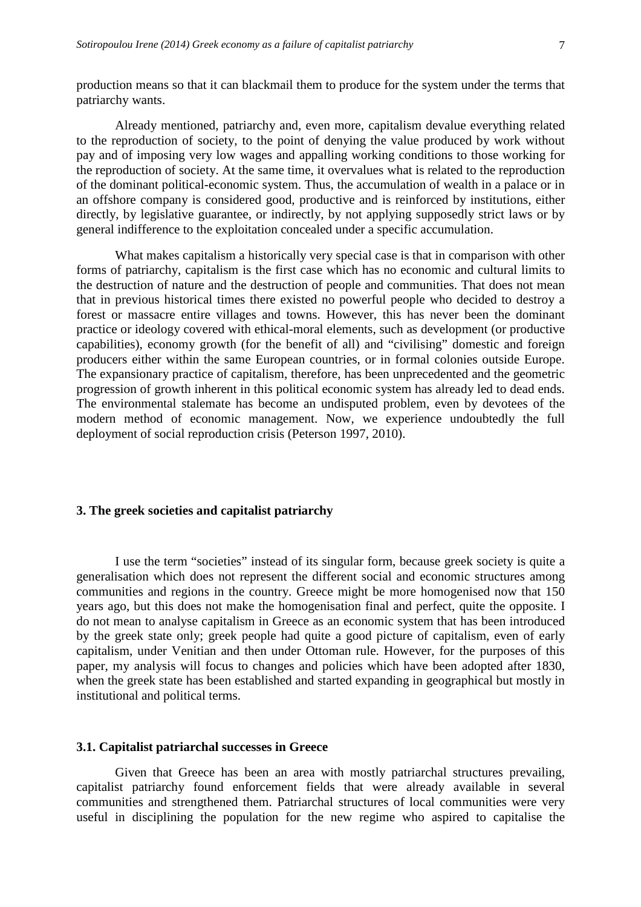production means so that it can blackmail them to produce for the system under the terms that patriarchy wants.

Already mentioned, patriarchy and, even more, capitalism devalue everything related to the reproduction of society, to the point of denying the value produced by work without pay and of imposing very low wages and appalling working conditions to those working for the reproduction of society. At the same time, it overvalues what is related to the reproduction of the dominant political-economic system. Thus, the accumulation of wealth in a palace or in an offshore company is considered good, productive and is reinforced by institutions, either directly, by legislative guarantee, or indirectly, by not applying supposedly strict laws or by general indifference to the exploitation concealed under a specific accumulation.

What makes capitalism a historically very special case is that in comparison with other forms of patriarchy, capitalism is the first case which has no economic and cultural limits to the destruction of nature and the destruction of people and communities. That does not mean that in previous historical times there existed no powerful people who decided to destroy a forest or massacre entire villages and towns. However, this has never been the dominant practice or ideology covered with ethical-moral elements, such as development (or productive capabilities), economy growth (for the benefit of all) and "civilising" domestic and foreign producers either within the same European countries, or in formal colonies outside Europe. The expansionary practice of capitalism, therefore, has been unprecedented and the geometric progression of growth inherent in this political economic system has already led to dead ends. The environmental stalemate has become an undisputed problem, even by devotees of the modern method of economic management. Now, we experience undoubtedly the full deployment of social reproduction crisis (Peterson 1997, 2010).

#### **3. The greek societies and capitalist patriarchy**

 I use the term "societies" instead of its singular form, because greek society is quite a generalisation which does not represent the different social and economic structures among communities and regions in the country. Greece might be more homogenised now that 150 years ago, but this does not make the homogenisation final and perfect, quite the opposite. I do not mean to analyse capitalism in Greece as an economic system that has been introduced by the greek state only; greek people had quite a good picture of capitalism, even of early capitalism, under Venitian and then under Ottoman rule. However, for the purposes of this paper, my analysis will focus to changes and policies which have been adopted after 1830, when the greek state has been established and started expanding in geographical but mostly in institutional and political terms.

#### **3.1. Capitalist patriarchal successes in Greece**

Given that Greece has been an area with mostly patriarchal structures prevailing, capitalist patriarchy found enforcement fields that were already available in several communities and strengthened them. Patriarchal structures of local communities were very useful in disciplining the population for the new regime who aspired to capitalise the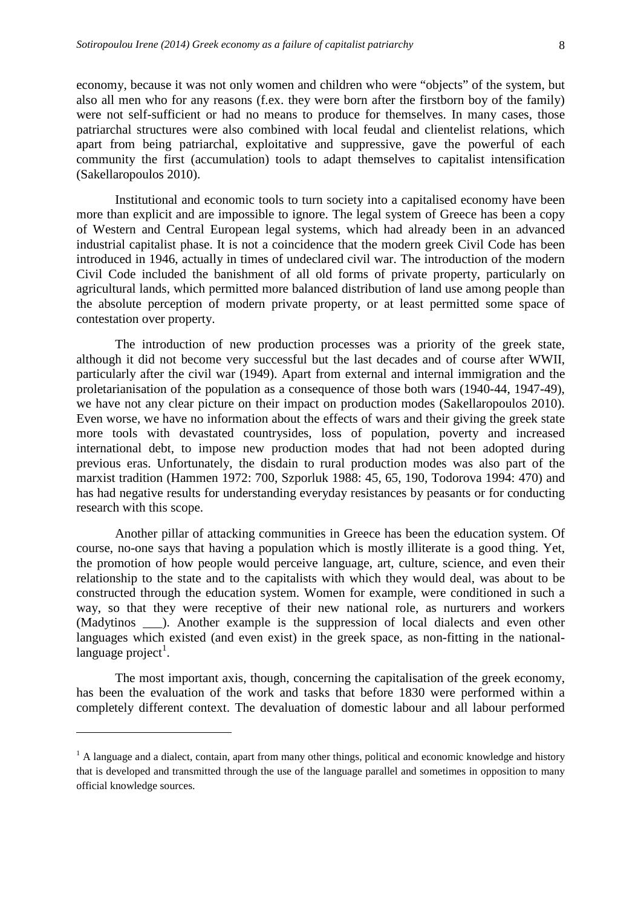economy, because it was not only women and children who were "objects" of the system, but also all men who for any reasons (f.ex. they were born after the firstborn boy of the family) were not self-sufficient or had no means to produce for themselves. In many cases, those patriarchal structures were also combined with local feudal and clientelist relations, which apart from being patriarchal, exploitative and suppressive, gave the powerful of each community the first (accumulation) tools to adapt themselves to capitalist intensification (Sakellaropoulos 2010).

 Institutional and economic tools to turn society into a capitalised economy have been more than explicit and are impossible to ignore. The legal system of Greece has been a copy of Western and Central European legal systems, which had already been in an advanced industrial capitalist phase. It is not a coincidence that the modern greek Civil Code has been introduced in 1946, actually in times of undeclared civil war. The introduction of the modern Civil Code included the banishment of all old forms of private property, particularly on agricultural lands, which permitted more balanced distribution of land use among people than the absolute perception of modern private property, or at least permitted some space of contestation over property.

 The introduction of new production processes was a priority of the greek state, although it did not become very successful but the last decades and of course after WWII, particularly after the civil war (1949). Apart from external and internal immigration and the proletarianisation of the population as a consequence of those both wars (1940-44, 1947-49), we have not any clear picture on their impact on production modes (Sakellaropoulos 2010). Even worse, we have no information about the effects of wars and their giving the greek state more tools with devastated countrysides, loss of population, poverty and increased international debt, to impose new production modes that had not been adopted during previous eras. Unfortunately, the disdain to rural production modes was also part of the marxist tradition (Hammen 1972: 700, Szporluk 1988: 45, 65, 190, Todorova 1994: 470) and has had negative results for understanding everyday resistances by peasants or for conducting research with this scope.

 Another pillar of attacking communities in Greece has been the education system. Of course, no-one says that having a population which is mostly illiterate is a good thing. Yet, the promotion of how people would perceive language, art, culture, science, and even their relationship to the state and to the capitalists with which they would deal, was about to be constructed through the education system. Women for example, were conditioned in such a way, so that they were receptive of their new national role, as nurturers and workers (Madytinos \_\_\_). Another example is the suppression of local dialects and even other languages which existed (and even exist) in the greek space, as non-fitting in the national $language$  project<sup>1</sup>.

 The most important axis, though, concerning the capitalisation of the greek economy, has been the evaluation of the work and tasks that before 1830 were performed within a completely different context. The devaluation of domestic labour and all labour performed

 $\overline{a}$ 

<sup>&</sup>lt;sup>1</sup> A language and a dialect, contain, apart from many other things, political and economic knowledge and history that is developed and transmitted through the use of the language parallel and sometimes in opposition to many official knowledge sources.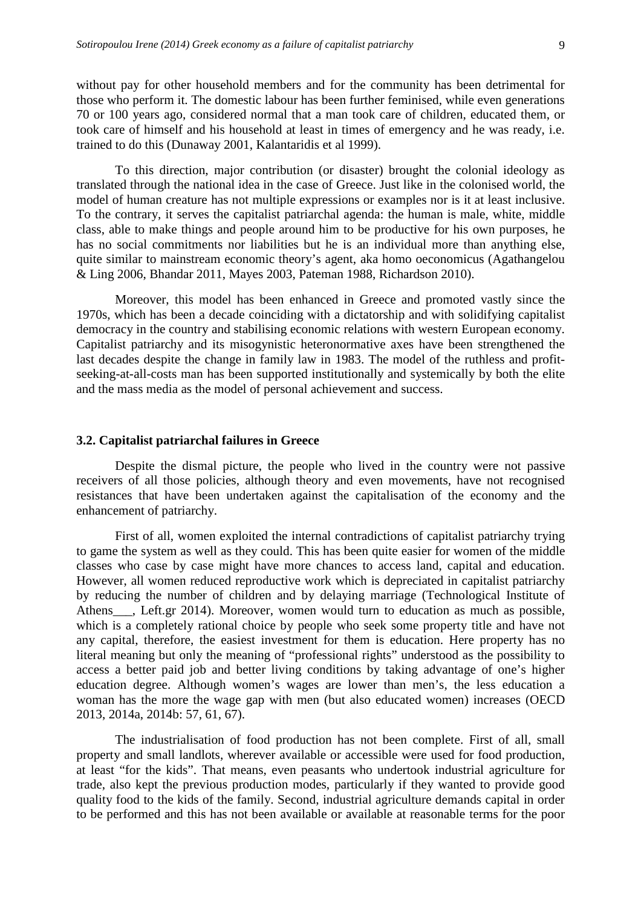without pay for other household members and for the community has been detrimental for those who perform it. The domestic labour has been further feminised, while even generations 70 or 100 years ago, considered normal that a man took care of children, educated them, or took care of himself and his household at least in times of emergency and he was ready, i.e. trained to do this (Dunaway 2001, Kalantaridis et al 1999).

 To this direction, major contribution (or disaster) brought the colonial ideology as translated through the national idea in the case of Greece. Just like in the colonised world, the model of human creature has not multiple expressions or examples nor is it at least inclusive. To the contrary, it serves the capitalist patriarchal agenda: the human is male, white, middle class, able to make things and people around him to be productive for his own purposes, he has no social commitments nor liabilities but he is an individual more than anything else, quite similar to mainstream economic theory's agent, aka homo oeconomicus (Agathangelou & Ling 2006, Bhandar 2011, Mayes 2003, Pateman 1988, Richardson 2010).

 Moreover, this model has been enhanced in Greece and promoted vastly since the 1970s, which has been a decade coinciding with a dictatorship and with solidifying capitalist democracy in the country and stabilising economic relations with western European economy. Capitalist patriarchy and its misogynistic heteronormative axes have been strengthened the last decades despite the change in family law in 1983. The model of the ruthless and profitseeking-at-all-costs man has been supported institutionally and systemically by both the elite and the mass media as the model of personal achievement and success.

#### **3.2. Capitalist patriarchal failures in Greece**

 Despite the dismal picture, the people who lived in the country were not passive receivers of all those policies, although theory and even movements, have not recognised resistances that have been undertaken against the capitalisation of the economy and the enhancement of patriarchy.

 First of all, women exploited the internal contradictions of capitalist patriarchy trying to game the system as well as they could. This has been quite easier for women of the middle classes who case by case might have more chances to access land, capital and education. However, all women reduced reproductive work which is depreciated in capitalist patriarchy by reducing the number of children and by delaying marriage (Technological Institute of Athens Left.gr 2014). Moreover, women would turn to education as much as possible, which is a completely rational choice by people who seek some property title and have not any capital, therefore, the easiest investment for them is education. Here property has no literal meaning but only the meaning of "professional rights" understood as the possibility to access a better paid job and better living conditions by taking advantage of one's higher education degree. Although women's wages are lower than men's, the less education a woman has the more the wage gap with men (but also educated women) increases (OECD 2013, 2014a, 2014b: 57, 61, 67).

 The industrialisation of food production has not been complete. First of all, small property and small landlots, wherever available or accessible were used for food production, at least "for the kids". That means, even peasants who undertook industrial agriculture for trade, also kept the previous production modes, particularly if they wanted to provide good quality food to the kids of the family. Second, industrial agriculture demands capital in order to be performed and this has not been available or available at reasonable terms for the poor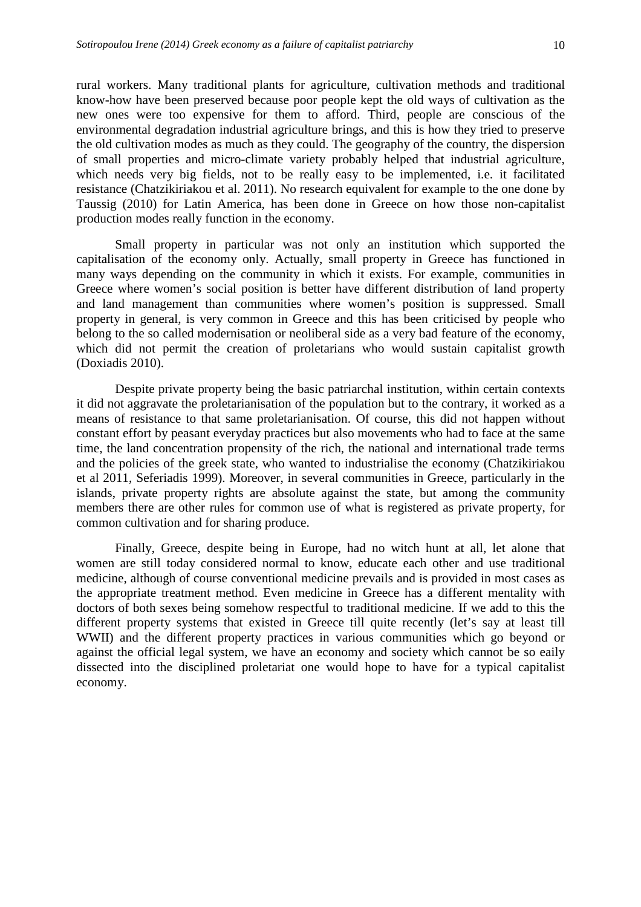rural workers. Many traditional plants for agriculture, cultivation methods and traditional know-how have been preserved because poor people kept the old ways of cultivation as the new ones were too expensive for them to afford. Third, people are conscious of the environmental degradation industrial agriculture brings, and this is how they tried to preserve the old cultivation modes as much as they could. The geography of the country, the dispersion of small properties and micro-climate variety probably helped that industrial agriculture, which needs very big fields, not to be really easy to be implemented, i.e. it facilitated resistance (Chatzikiriakou et al. 2011). No research equivalent for example to the one done by Taussig (2010) for Latin America, has been done in Greece on how those non-capitalist production modes really function in the economy.

 Small property in particular was not only an institution which supported the capitalisation of the economy only. Actually, small property in Greece has functioned in many ways depending on the community in which it exists. For example, communities in Greece where women's social position is better have different distribution of land property and land management than communities where women's position is suppressed. Small property in general, is very common in Greece and this has been criticised by people who belong to the so called modernisation or neoliberal side as a very bad feature of the economy, which did not permit the creation of proletarians who would sustain capitalist growth (Doxiadis 2010).

Despite private property being the basic patriarchal institution, within certain contexts it did not aggravate the proletarianisation of the population but to the contrary, it worked as a means of resistance to that same proletarianisation. Of course, this did not happen without constant effort by peasant everyday practices but also movements who had to face at the same time, the land concentration propensity of the rich, the national and international trade terms and the policies of the greek state, who wanted to industrialise the economy (Chatzikiriakou et al 2011, Seferiadis 1999). Moreover, in several communities in Greece, particularly in the islands, private property rights are absolute against the state, but among the community members there are other rules for common use of what is registered as private property, for common cultivation and for sharing produce.

 Finally, Greece, despite being in Europe, had no witch hunt at all, let alone that women are still today considered normal to know, educate each other and use traditional medicine, although of course conventional medicine prevails and is provided in most cases as the appropriate treatment method. Even medicine in Greece has a different mentality with doctors of both sexes being somehow respectful to traditional medicine. If we add to this the different property systems that existed in Greece till quite recently (let's say at least till WWII) and the different property practices in various communities which go beyond or against the official legal system, we have an economy and society which cannot be so eaily dissected into the disciplined proletariat one would hope to have for a typical capitalist economy.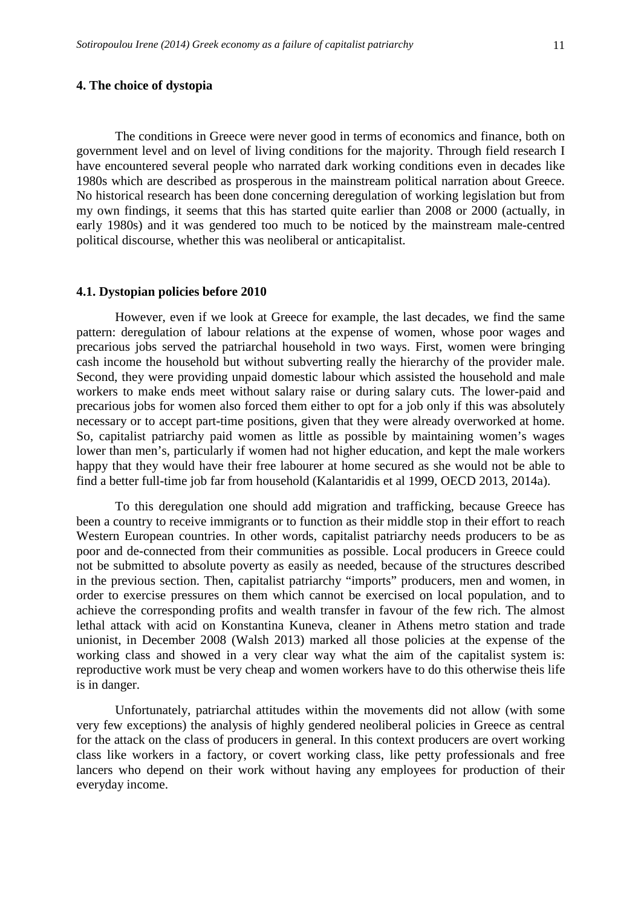## **4. The choice of dystopia**

 The conditions in Greece were never good in terms of economics and finance, both on government level and on level of living conditions for the majority. Through field research I have encountered several people who narrated dark working conditions even in decades like 1980s which are described as prosperous in the mainstream political narration about Greece. No historical research has been done concerning deregulation of working legislation but from my own findings, it seems that this has started quite earlier than 2008 or 2000 (actually, in early 1980s) and it was gendered too much to be noticed by the mainstream male-centred political discourse, whether this was neoliberal or anticapitalist.

#### **4.1. Dystopian policies before 2010**

However, even if we look at Greece for example, the last decades, we find the same pattern: deregulation of labour relations at the expense of women, whose poor wages and precarious jobs served the patriarchal household in two ways. First, women were bringing cash income the household but without subverting really the hierarchy of the provider male. Second, they were providing unpaid domestic labour which assisted the household and male workers to make ends meet without salary raise or during salary cuts. The lower-paid and precarious jobs for women also forced them either to opt for a job only if this was absolutely necessary or to accept part-time positions, given that they were already overworked at home. So, capitalist patriarchy paid women as little as possible by maintaining women's wages lower than men's, particularly if women had not higher education, and kept the male workers happy that they would have their free labourer at home secured as she would not be able to find a better full-time job far from household (Kalantaridis et al 1999, OECD 2013, 2014a).

To this deregulation one should add migration and trafficking, because Greece has been a country to receive immigrants or to function as their middle stop in their effort to reach Western European countries. In other words, capitalist patriarchy needs producers to be as poor and de-connected from their communities as possible. Local producers in Greece could not be submitted to absolute poverty as easily as needed, because of the structures described in the previous section. Then, capitalist patriarchy "imports" producers, men and women, in order to exercise pressures on them which cannot be exercised on local population, and to achieve the corresponding profits and wealth transfer in favour of the few rich. The almost lethal attack with acid on Konstantina Kuneva, cleaner in Athens metro station and trade unionist, in December 2008 (Walsh 2013) marked all those policies at the expense of the working class and showed in a very clear way what the aim of the capitalist system is: reproductive work must be very cheap and women workers have to do this otherwise theis life is in danger.

Unfortunately, patriarchal attitudes within the movements did not allow (with some very few exceptions) the analysis of highly gendered neoliberal policies in Greece as central for the attack on the class of producers in general. In this context producers are overt working class like workers in a factory, or covert working class, like petty professionals and free lancers who depend on their work without having any employees for production of their everyday income.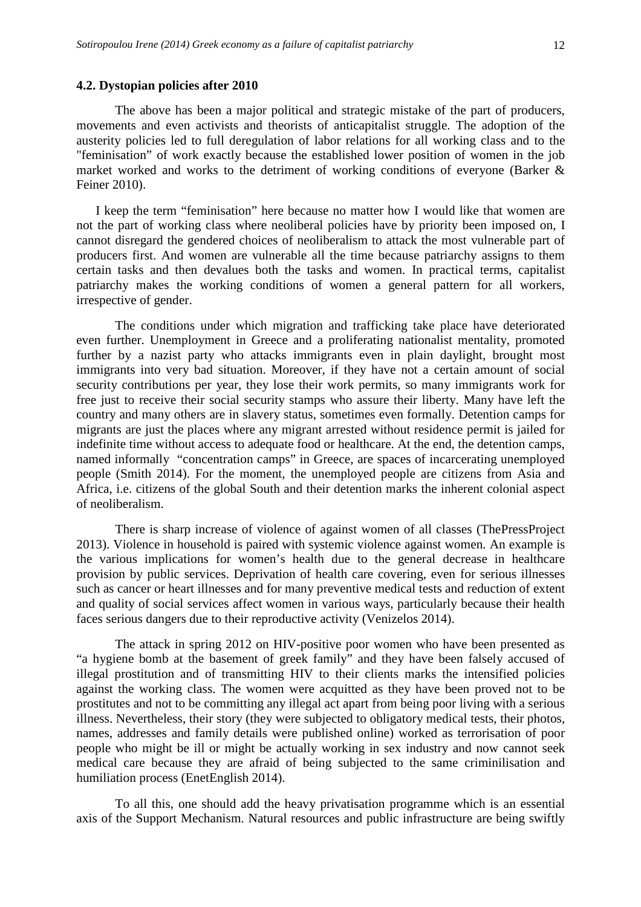The above has been a major political and strategic mistake of the part of producers, movements and even activists and theorists of anticapitalist struggle. The adoption of the austerity policies led to full deregulation of labor relations for all working class and to the "feminisation" of work exactly because the established lower position of women in the job market worked and works to the detriment of working conditions of everyone (Barker & Feiner 2010).

I keep the term "feminisation" here because no matter how I would like that women are not the part of working class where neoliberal policies have by priority been imposed on, I cannot disregard the gendered choices of neoliberalism to attack the most vulnerable part of producers first. And women are vulnerable all the time because patriarchy assigns to them certain tasks and then devalues both the tasks and women. In practical terms, capitalist patriarchy makes the working conditions of women a general pattern for all workers, irrespective of gender.

The conditions under which migration and trafficking take place have deteriorated even further. Unemployment in Greece and a proliferating nationalist mentality, promoted further by a nazist party who attacks immigrants even in plain daylight, brought most immigrants into very bad situation. Moreover, if they have not a certain amount of social security contributions per year, they lose their work permits, so many immigrants work for free just to receive their social security stamps who assure their liberty. Many have left the country and many others are in slavery status, sometimes even formally. Detention camps for migrants are just the places where any migrant arrested without residence permit is jailed for indefinite time without access to adequate food or healthcare. At the end, the detention camps, named informally "concentration camps" in Greece, are spaces of incarcerating unemployed people (Smith 2014). For the moment, the unemployed people are citizens from Asia and Africa, i.e. citizens of the global South and their detention marks the inherent colonial aspect of neoliberalism.

There is sharp increase of violence of against women of all classes (ThePressProject 2013). Violence in household is paired with systemic violence against women. An example is the various implications for women's health due to the general decrease in healthcare provision by public services. Deprivation of health care covering, even for serious illnesses such as cancer or heart illnesses and for many preventive medical tests and reduction of extent and quality of social services affect women in various ways, particularly because their health faces serious dangers due to their reproductive activity (Venizelos 2014).

The attack in spring 2012 on HIV-positive poor women who have been presented as "a hygiene bomb at the basement of greek family" and they have been falsely accused of illegal prostitution and of transmitting HIV to their clients marks the intensified policies against the working class. The women were acquitted as they have been proved not to be prostitutes and not to be committing any illegal act apart from being poor living with a serious illness. Nevertheless, their story (they were subjected to obligatory medical tests, their photos, names, addresses and family details were published online) worked as terrorisation of poor people who might be ill or might be actually working in sex industry and now cannot seek medical care because they are afraid of being subjected to the same criminilisation and humiliation process (EnetEnglish 2014).

To all this, one should add the heavy privatisation programme which is an essential axis of the Support Mechanism. Natural resources and public infrastructure are being swiftly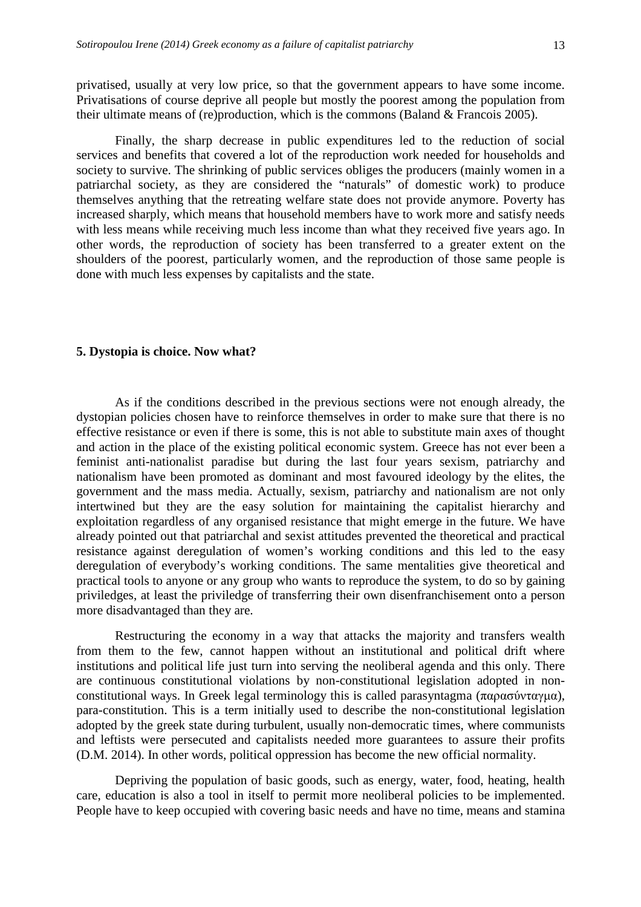privatised, usually at very low price, so that the government appears to have some income. Privatisations of course deprive all people but mostly the poorest among the population from their ultimate means of (re)production, which is the commons (Baland & Francois 2005).

Finally, the sharp decrease in public expenditures led to the reduction of social services and benefits that covered a lot of the reproduction work needed for households and society to survive. The shrinking of public services obliges the producers (mainly women in a patriarchal society, as they are considered the "naturals" of domestic work) to produce themselves anything that the retreating welfare state does not provide anymore. Poverty has increased sharply, which means that household members have to work more and satisfy needs with less means while receiving much less income than what they received five years ago. In other words, the reproduction of society has been transferred to a greater extent on the shoulders of the poorest, particularly women, and the reproduction of those same people is done with much less expenses by capitalists and the state.

#### **5. Dystopia is choice. Now what?**

As if the conditions described in the previous sections were not enough already, the dystopian policies chosen have to reinforce themselves in order to make sure that there is no effective resistance or even if there is some, this is not able to substitute main axes of thought and action in the place of the existing political economic system. Greece has not ever been a feminist anti-nationalist paradise but during the last four years sexism, patriarchy and nationalism have been promoted as dominant and most favoured ideology by the elites, the government and the mass media. Actually, sexism, patriarchy and nationalism are not only intertwined but they are the easy solution for maintaining the capitalist hierarchy and exploitation regardless of any organised resistance that might emerge in the future. We have already pointed out that patriarchal and sexist attitudes prevented the theoretical and practical resistance against deregulation of women's working conditions and this led to the easy deregulation of everybody's working conditions. The same mentalities give theoretical and practical tools to anyone or any group who wants to reproduce the system, to do so by gaining priviledges, at least the priviledge of transferring their own disenfranchisement onto a person more disadvantaged than they are.

Restructuring the economy in a way that attacks the majority and transfers wealth from them to the few, cannot happen without an institutional and political drift where institutions and political life just turn into serving the neoliberal agenda and this only. There are continuous constitutional violations by non-constitutional legislation adopted in nonconstitutional ways. In Greek legal terminology this is called parasyntagma (παρασύνταγμα), para-constitution. This is a term initially used to describe the non-constitutional legislation adopted by the greek state during turbulent, usually non-democratic times, where communists and leftists were persecuted and capitalists needed more guarantees to assure their profits (D.M. 2014). In other words, political oppression has become the new official normality.

Depriving the population of basic goods, such as energy, water, food, heating, health care, education is also a tool in itself to permit more neoliberal policies to be implemented. People have to keep occupied with covering basic needs and have no time, means and stamina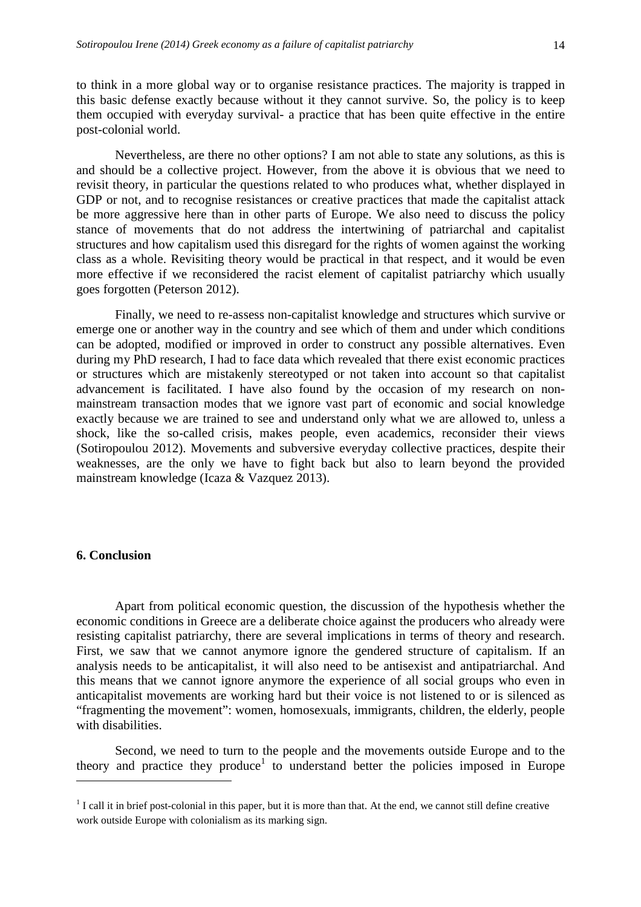to think in a more global way or to organise resistance practices. The majority is trapped in this basic defense exactly because without it they cannot survive. So, the policy is to keep them occupied with everyday survival- a practice that has been quite effective in the entire post-colonial world.

Nevertheless, are there no other options? I am not able to state any solutions, as this is and should be a collective project. However, from the above it is obvious that we need to revisit theory, in particular the questions related to who produces what, whether displayed in GDP or not, and to recognise resistances or creative practices that made the capitalist attack be more aggressive here than in other parts of Europe. We also need to discuss the policy stance of movements that do not address the intertwining of patriarchal and capitalist structures and how capitalism used this disregard for the rights of women against the working class as a whole. Revisiting theory would be practical in that respect, and it would be even more effective if we reconsidered the racist element of capitalist patriarchy which usually goes forgotten (Peterson 2012).

Finally, we need to re-assess non-capitalist knowledge and structures which survive or emerge one or another way in the country and see which of them and under which conditions can be adopted, modified or improved in order to construct any possible alternatives. Even during my PhD research, I had to face data which revealed that there exist economic practices or structures which are mistakenly stereotyped or not taken into account so that capitalist advancement is facilitated. I have also found by the occasion of my research on nonmainstream transaction modes that we ignore vast part of economic and social knowledge exactly because we are trained to see and understand only what we are allowed to, unless a shock, like the so-called crisis, makes people, even academics, reconsider their views (Sotiropoulou 2012). Movements and subversive everyday collective practices, despite their weaknesses, are the only we have to fight back but also to learn beyond the provided mainstream knowledge (Icaza & Vazquez 2013).

## **6. Conclusion**

 $\overline{a}$ 

 Apart from political economic question, the discussion of the hypothesis whether the economic conditions in Greece are a deliberate choice against the producers who already were resisting capitalist patriarchy, there are several implications in terms of theory and research. First, we saw that we cannot anymore ignore the gendered structure of capitalism. If an analysis needs to be anticapitalist, it will also need to be antisexist and antipatriarchal. And this means that we cannot ignore anymore the experience of all social groups who even in anticapitalist movements are working hard but their voice is not listened to or is silenced as "fragmenting the movement": women, homosexuals, immigrants, children, the elderly, people with disabilities.

 Second, we need to turn to the people and the movements outside Europe and to the theory and practice they produce<sup>1</sup> to understand better the policies imposed in Europe

 $<sup>1</sup>$  I call it in brief post-colonial in this paper, but it is more than that. At the end, we cannot still define creative</sup> work outside Europe with colonialism as its marking sign.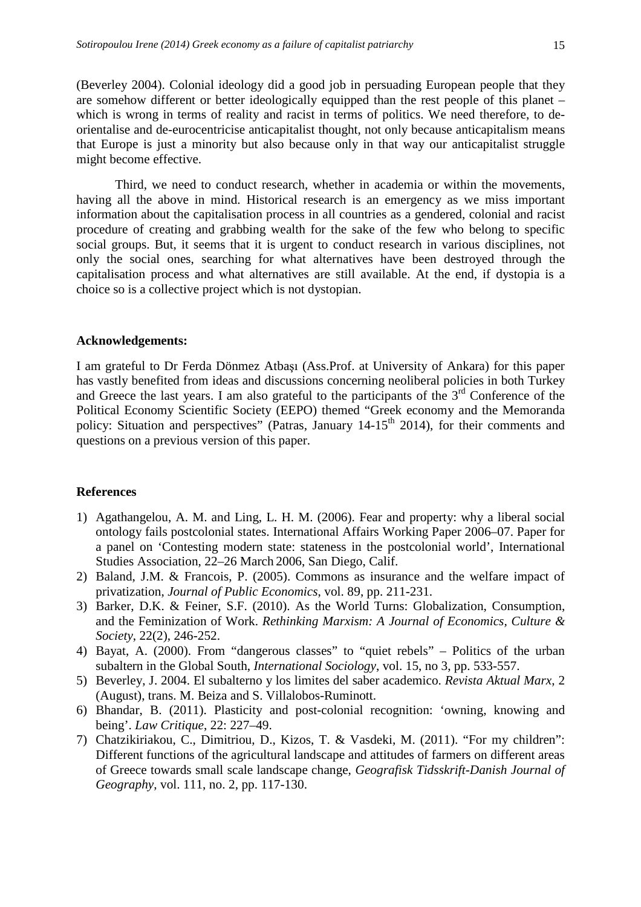(Beverley 2004). Colonial ideology did a good job in persuading European people that they are somehow different or better ideologically equipped than the rest people of this planet – which is wrong in terms of reality and racist in terms of politics. We need therefore, to deorientalise and de-eurocentricise anticapitalist thought, not only because anticapitalism means that Europe is just a minority but also because only in that way our anticapitalist struggle might become effective.

 Third, we need to conduct research, whether in academia or within the movements, having all the above in mind. Historical research is an emergency as we miss important information about the capitalisation process in all countries as a gendered, colonial and racist procedure of creating and grabbing wealth for the sake of the few who belong to specific social groups. But, it seems that it is urgent to conduct research in various disciplines, not only the social ones, searching for what alternatives have been destroyed through the capitalisation process and what alternatives are still available. At the end, if dystopia is a choice so is a collective project which is not dystopian.

#### **Acknowledgements:**

I am grateful to Dr Ferda Dönmez Atbaşı (Ass.Prof. at University of Ankara) for this paper has vastly benefited from ideas and discussions concerning neoliberal policies in both Turkey and Greece the last years. I am also grateful to the participants of the  $3<sup>rd</sup>$  Conference of the Political Economy Scientific Society (EEPO) themed "Greek economy and the Memoranda policy: Situation and perspectives" (Patras, January 14-15<sup>th</sup> 2014), for their comments and questions on a previous version of this paper.

#### **References**

- 1) Agathangelou, A. M. and Ling, L. H. M. (2006). Fear and property: why a liberal social ontology fails postcolonial states. International Affairs Working Paper 2006–07. Paper for a panel on 'Contesting modern state: stateness in the postcolonial world', International Studies Association, 22–26 March 2006, San Diego, Calif.
- 2) Baland, J.M. & Francois, P. (2005). Commons as insurance and the welfare impact of privatization, *Journal of Public Economics*, vol. 89, pp. 211-231.
- 3) Barker, D.K. & Feiner, S.F. (2010). As the World Turns: Globalization, Consumption, and the Feminization of Work. *Rethinking Marxism: A Journal of Economics, Culture & Society*, 22(2), 246-252.
- 4) Bayat, A. (2000). From "dangerous classes" to "quiet rebels" Politics of the urban subaltern in the Global South, *International Sociology*, vol. 15, no 3, pp. 533-557.
- 5) Beverley, J. 2004. El subalterno y los limites del saber academico. *Revista Aktual Marx*, 2 (August), trans. M. Beiza and S. Villalobos-Ruminott.
- 6) Bhandar, B. (2011). Plasticity and post-colonial recognition: 'owning, knowing and being'. *Law Critique*, 22: 227–49.
- 7) Chatzikiriakou, C., Dimitriou, D., Kizos, T. & Vasdeki, M. (2011). "For my children": Different functions of the agricultural landscape and attitudes of farmers on different areas of Greece towards small scale landscape change, *Geografisk Tidsskrift-Danish Journal of Geography*, vol. 111, no. 2, pp. 117-130.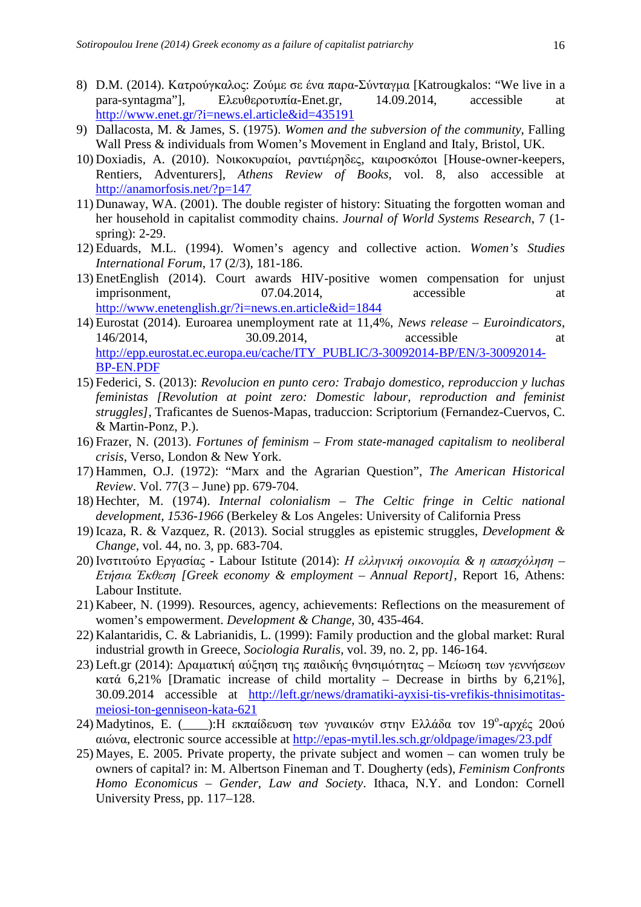- 8) D.M. (2014). Κατρούγκαλος: Ζούµε σε ένα παρα-Σύνταγµα [Katrougkalos: "We live in a para-syntagma"], Eλευθεροτυπία-Enet.gr, 14.09.2014, accessible at http://www.enet.gr/?i=news.el.article&id=435191
- 9) Dallacosta, M. & James, S. (1975). *Women and the subversion of the community*, Falling Wall Press & individuals from Women's Movement in England and Italy, Bristol, UK.
- 10) Doxiadis, A. (2010). Νοικοκυραίοι, ραντιέρηδες, καιροσκόποι [House-owner-keepers, Rentiers, Adventurers], *Athens Review of Books*, vol. 8, also accessible at http://anamorfosis.net/?p=147
- 11) Dunaway, WA. (2001). The double register of history: Situating the forgotten woman and her household in capitalist commodity chains. *Journal of World Systems Research*, 7 (1 spring): 2-29.
- 12) Eduards, M.L. (1994). Women's agency and collective action. *Women's Studies International Forum*, 17 (2/3), 181-186.
- 13) EnetEnglish (2014). Court awards HIV-positive women compensation for unjust imprisonment, 07.04.2014, accessible at http://www.enetenglish.gr/?i=news.en.article&id=1844
- 14) Eurostat (2014). Euroarea unemployment rate at 11,4%, *News release Euroindicators*, 146/2014, 30.09.2014, accessible at http://epp.eurostat.ec.europa.eu/cache/ITY\_PUBLIC/3-30092014-BP/EN/3-30092014- BP-EN.PDF
- 15) Federici, S. (2013): *Revolucion en punto cero: Trabajo domestico, reproduccion y luchas feministas [Revolution at point zero: Domestic labour, reproduction and feminist struggles]*, Traficantes de Suenos-Mapas, traduccion: Scriptorium (Fernandez-Cuervos, C. & Martin-Ponz, P.).
- 16) Frazer, N. (2013). *Fortunes of feminism From state-managed capitalism to neoliberal crisis*, Verso, London & New York.
- 17) Hammen, O.J. (1972): "Marx and the Agrarian Question", *The American Historical Review*. Vol. 77(3 – June) pp. 679-704.
- 18) Hechter, M. (1974). *Internal colonialism The Celtic fringe in Celtic national development, 1536-1966* (Berkeley & Los Angeles: University of California Press
- 19) Icaza, R. & Vazquez, R. (2013). Social struggles as epistemic struggles, *Development & Change*, vol. 44, no. 3, pp. 683-704.
- 20) Ινστιτούτο Εργασίας Labour Istitute (2014): *Η ελληνική οικονοµία & η απασχόληση – Ετήσια Έκθεση [Greek economy & employment – Annual Report]*, Report 16, Athens: Labour Institute.
- 21) Kabeer, N. (1999). Resources, agency, achievements: Reflections on the measurement of women's empowerment. *Development & Change*, 30, 435-464.
- 22) Kalantaridis, C. & Labrianidis, L. (1999): Family production and the global market: Rural industrial growth in Greece, *Sociologia Ruralis*, vol. 39, no. 2, pp. 146-164.
- 23) Left.gr (2014): ∆ραµατική αύξηση της παιδικής θνησιµότητας Μείωση των γεννήσεων κατά 6,21% [Dramatic increase of child mortality – Decrease in births by 6,21%], 30.09.2014 accessible at http://left.gr/news/dramatiki-ayxisi-tis-vrefikis-thnisimotitasmeiosi-ton-genniseon-kata-621
- 24) Madytinos, E. (\_\_\_\_):Η εκπαίδευση των γυναικών στην Ελλάδα τον 19<sup>°</sup>-αρχές 20ού αιώνα, electronic source accessible at http://epas-mytil.les.sch.gr/oldpage/images/23.pdf
- 25) Mayes, E. 2005. Private property, the private subject and women can women truly be owners of capital? in: M. Albertson Fineman and T. Dougherty (eds), *Feminism Confronts Homo Economicus – Gender, Law and Society*. Ithaca, N.Y. and London: Cornell University Press, pp. 117–128.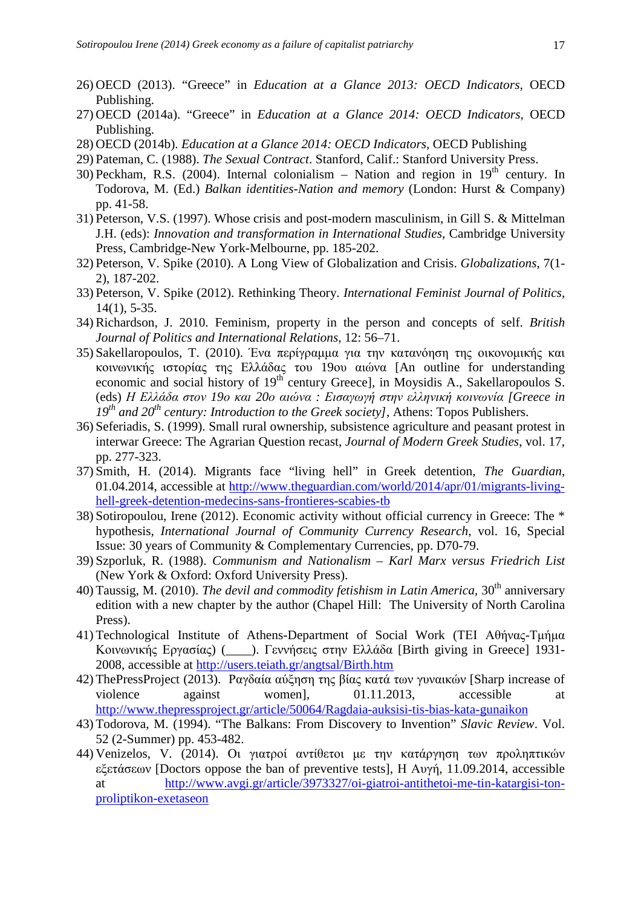- 26) OECD (2013). "Greece" in *Education at a Glance 2013: OECD Indicators,* OECD Publishing.
- 27) OECD (2014a). "Greece" in *Education at a Glance 2014: OECD Indicators,* OECD Publishing.
- 28) OECD (2014b). *Education at a Glance 2014: OECD Indicators,* OECD Publishing
- 29) Pateman, C. (1988). *The Sexual Contract*. Stanford, Calif.: Stanford University Press.
- 30) Peckham, R.S. (2004). Internal colonialism Nation and region in  $19<sup>th</sup>$  century. In Todorova, M. (Ed.) *Balkan identities-Nation and memory* (London: Hurst & Company) pp. 41-58.
- 31) Peterson, V.S. (1997). Whose crisis and post-modern masculinism, in Gill S. & Mittelman J.H. (eds): *Innovation and transformation in International Studies*, Cambridge University Press, Cambridge-New York-Melbourne, pp. 185-202.
- 32) Peterson, V. Spike (2010). A Long View of Globalization and Crisis. *Globalizations*, 7(1- 2), 187-202.
- 33) Peterson, V. Spike (2012). Rethinking Theory. *International Feminist Journal of Politics*, 14(1), 5-35.
- 34) Richardson, J. 2010. Feminism, property in the person and concepts of self. *British Journal of Politics and International Relations*, 12: 56–71.
- 35) Sakellaropoulos, T. (2010). Ένα περίγραµµα για την κατανόηση της οικονοµικής και κοινωνικής ιστορίας της Ελλάδας του 19ου αιώνα [An outline for understanding economic and social history of 19th century Greece], in Moysidis A., Sakellaropoulos S. (eds) *Η Ελλάδα στον 19ο και 20ο αιώνα : Εισαγωγή στην ελληνική κοινωνία [Greece in 19th and 20th century: Introduction to the Greek society]*, Athens: Topos Publishers.
- 36) Seferiadis, S. (1999). Small rural ownership, subsistence agriculture and peasant protest in interwar Greece: The Agrarian Question recast, *Journal of Modern Greek Studies*, vol. 17, pp. 277-323.
- 37) Smith, H. (2014). Migrants face "living hell" in Greek detention, *The Guardian*, 01.04.2014, accessible at http://www.theguardian.com/world/2014/apr/01/migrants-livinghell-greek-detention-medecins-sans-frontieres-scabies-tb
- 38) Sotiropoulou, Irene (2012). Economic activity without official currency in Greece: The \* hypothesis, *International Journal of Community Currency Research*, vol. 16, Special Issue: 30 years of Community & Complementary Currencies, pp. D70-79.
- 39) Szporluk, R. (1988). *Communism and Nationalism Karl Marx versus Friedrich List*  (New York & Oxford: Oxford University Press).
- 40) Taussig, M. (2010). *The devil and commodity fetishism in Latin America*, 30<sup>th</sup> anniversary edition with a new chapter by the author (Chapel Hill: The University of North Carolina Press).
- 41) Technological Institute of Athens-Department of Social Work (ΤΕΙ Αθήνας-Τµήµα Κοινωνικής Εργασίας) (\_\_\_\_). Γεννήσεις στην Ελλάδα [Birth giving in Greece] 1931- 2008, accessible at http://users.teiath.gr/angtsal/Birth.htm
- 42) ThePressProject (2013). Ραγδαία αύξηση της βίας κατά των γυναικών [Sharp increase of violence against women], 01.11.2013, accessible at http://www.thepressproject.gr/article/50064/Ragdaia-auksisi-tis-bias-kata-gunaikon
- 43) Todorova, M. (1994). "The Balkans: From Discovery to Invention" *Slavic Review*. Vol. 52 (2-Summer) pp. 453-482.
- 44) Venizelos, V. (2014). Οι γιατροί αντίθετοι µε την κατάργηση των προληπτικών εξετάσεων [Doctors oppose the ban of preventive tests], Η Αυγή, 11.09.2014, accessible at http://www.avgi.gr/article/3973327/oi-giatroi-antithetoi-me-tin-katargisi-tonproliptikon-exetaseon